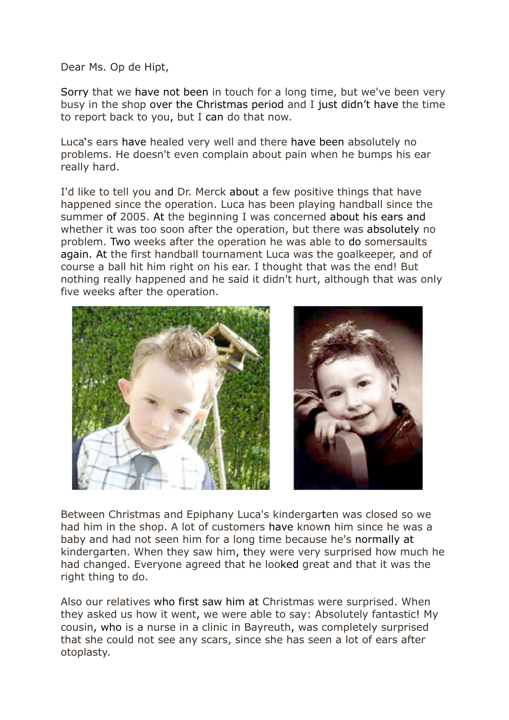Dear Ms. Op de Hipt,

Sorry that we have not been in touch for a long time, but we've been very busy in the shop over the Christmas period and I just didn't have the time to report back to you, but I can do that now.

Luca's ears have healed very well and there have been absolutely no problems. He doesn't even complain about pain when he bumps his ear really hard.

I'd like to tell you and Dr. Merck about a few positive things that have happened since the operation. Luca has been playing handball since the summer of 2005. At the beginning I was concerned about his ears and whether it was too soon after the operation, but there was absolutely no problem. Two weeks after the operation he was able to do somersaults again. At the first handball tournament Luca was the goalkeeper, and of course a ball hit him right on his ear. I thought that was the end! But nothing really happened and he said it didn't hurt, although that was only five weeks after the operation.





Between Christmas and Epiphany Luca's kindergarten was closed so we had him in the shop. A lot of customers have known him since he was a baby and had not seen him for a long time because he's normally at kindergarten. When they saw him, they were very surprised how much he had changed. Everyone agreed that he looked great and that it was the right thing to do.

Also our relatives who first saw him at Christmas were surprised. When they asked us how it went, we were able to say: Absolutely fantastic! My cousin, who is a nurse in a clinic in Bayreuth, was completely surprised that she could not see any scars, since she has seen a lot of ears after otoplasty.